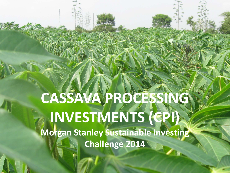**CASSAVA PROCESSING INVESTMENTS (CPI) Morgan Stanley Sustainable Investing Challenge 2014**

 $\bullet$  the April 2014 Cass  $\bullet$  10  $\bullet$  10  $\bullet$  10  $\bullet$  10  $\bullet$  10  $\bullet$  10  $\bullet$  10  $\bullet$  10  $\bullet$  10  $\bullet$  10  $\bullet$  10  $\bullet$  10  $\bullet$  10  $\bullet$  10  $\bullet$  10  $\bullet$  10  $\bullet$  10  $\bullet$  10  $\bullet$  10  $\bullet$  10  $\bullet$  10  $\bullet$  10  $\bullet$  10  $\bullet$  10  $\bullet$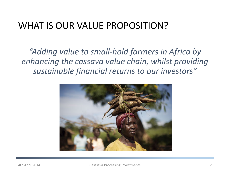### WHAT IS OUR VALUE PROPOSITION?

*"Adding value to small-hold farmers in Africa by enhancing the cassava value chain, whilst providing sustainable financial returns to our investors"*

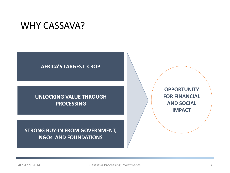

#### **AFRICA'S LARGEST CROP**

#### **UNLOCKING VALUE THROUGH PROCESSING**

#### **STRONG BUY-IN FROM GOVERNMENT, NGOs AND FOUNDATIONS**

**OPPORTUNITY FOR FINANCIAL AND SOCIAL IMPACT**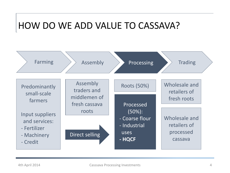## HOW DO WE ADD VALUE TO CASSAVA?

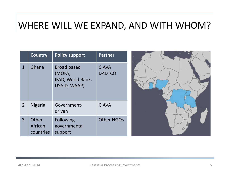### WHERE WILL WE EXPAND, AND WITH WHOM?

|                | Country                       | <b>Policy support</b>                                             | <b>Partner</b>         |
|----------------|-------------------------------|-------------------------------------------------------------------|------------------------|
| 1              | Ghana                         | <b>Broad based</b><br>(MOFA,<br>IFAD, World Bank,<br>USAID, WAAP) | C:AVA<br><b>DADTCO</b> |
| $\overline{2}$ | <b>Nigeria</b>                | Government-<br>driven                                             | C:AVA                  |
| 3              | Other<br>African<br>countries | <b>Following</b><br>governmental<br>support                       | <b>Other NGOs</b>      |

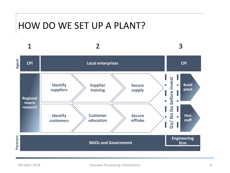### HOW DO WE SET UP A PLANT?

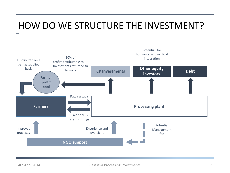# HOW DO WE STRUCTURE THE INVESTMENT?

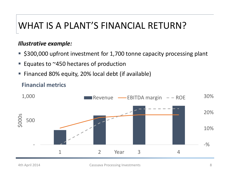# WHAT IS A PLANT'S FINANCIAL RETURN?

#### *Illustrative example:*

- **5300,000 upfront investment for 1,700 tonne capacity processing plant**
- Equates to ~450 hectares of production
- **Financed 80% equity, 20% local debt (if available)**

#### **Financial metrics**

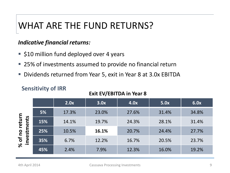# WHAT ARE THE FUND RETURNS?

#### *Indicative financial returns:*

- **510 million fund deployed over 4 years**
- 25% of investments assumed to provide no financial return
- Dividends returned from Year 5, exit in Year 8 at 3.0x EBITDA

#### **Sensitivity of IRR**

#### **Exit EV/EBITDA in Year 8**

|                                                                           |     | 2.0x  | 3.0x  | 4.0x  | 5.0x  | 6.0x  |
|---------------------------------------------------------------------------|-----|-------|-------|-------|-------|-------|
| return<br>nts<br>$\overline{\mathbf{v}}$<br>of no I<br>nvestr<br>$\aleph$ | 5%  | 17.3% | 23.0% | 27.6% | 31.4% | 34.8% |
|                                                                           | 15% | 14.1% | 19.7% | 24.3% | 28.1% | 31.4% |
|                                                                           | 25% | 10.5% | 16.1% | 20.7% | 24.4% | 27.7% |
|                                                                           | 35% | 6.7%  | 12.2% | 16.7% | 20.5% | 23.7% |
|                                                                           | 45% | 2.4%  | 7.9%  | 12.3% | 16.0% | 19.2% |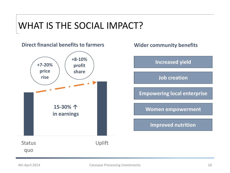# WHAT IS THE SOCIAL IMPACT?





**Women empowerment**

**Improved nutrition**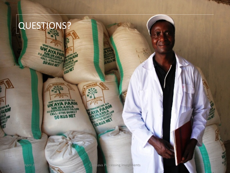